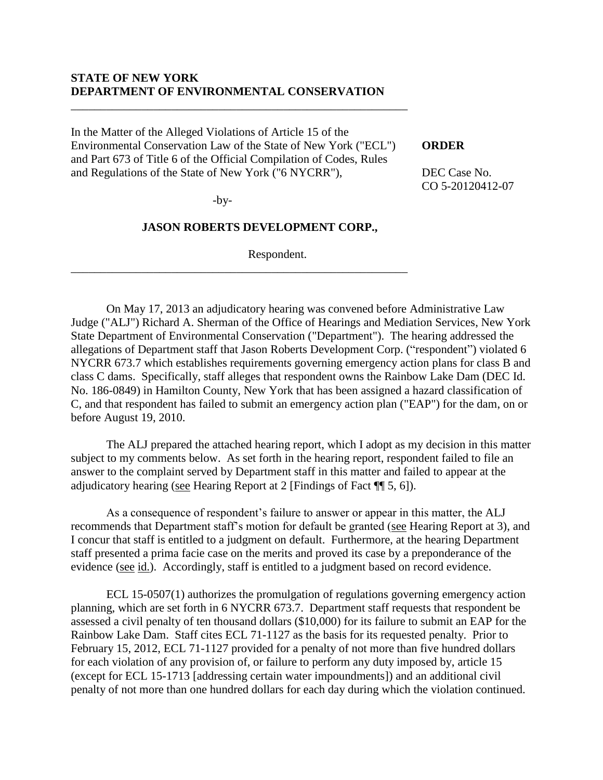## **STATE OF NEW YORK DEPARTMENT OF ENVIRONMENTAL CONSERVATION**

In the Matter of the Alleged Violations of Article 15 of the Environmental Conservation Law of the State of New York ("ECL") and Part 673 of Title 6 of the Official Compilation of Codes, Rules and Regulations of the State of New York ("6 NYCRR"),

\_\_\_\_\_\_\_\_\_\_\_\_\_\_\_\_\_\_\_\_\_\_\_\_\_\_\_\_\_\_\_\_\_\_\_\_\_\_\_\_\_\_\_\_\_\_\_\_\_\_\_\_\_\_\_\_\_

\_\_\_\_\_\_\_\_\_\_\_\_\_\_\_\_\_\_\_\_\_\_\_\_\_\_\_\_\_\_\_\_\_\_\_\_\_\_\_\_\_\_\_\_\_\_\_\_\_\_\_\_\_\_\_\_\_

#### **ORDER**

DEC Case No. CO 5-20120412-07

 $-by-$ 

#### **JASON ROBERTS DEVELOPMENT CORP.,**

Respondent.

On May 17, 2013 an adjudicatory hearing was convened before Administrative Law Judge ("ALJ") Richard A. Sherman of the Office of Hearings and Mediation Services, New York State Department of Environmental Conservation ("Department"). The hearing addressed the allegations of Department staff that Jason Roberts Development Corp. ("respondent") violated 6 NYCRR 673.7 which establishes requirements governing emergency action plans for class B and class C dams. Specifically, staff alleges that respondent owns the Rainbow Lake Dam (DEC Id. No. 186-0849) in Hamilton County, New York that has been assigned a hazard classification of C, and that respondent has failed to submit an emergency action plan ("EAP") for the dam, on or before August 19, 2010.

The ALJ prepared the attached hearing report, which I adopt as my decision in this matter subject to my comments below. As set forth in the hearing report, respondent failed to file an answer to the complaint served by Department staff in this matter and failed to appear at the adjudicatory hearing (see Hearing Report at 2 [Findings of Fact ¶¶ 5, 6]).

As a consequence of respondent's failure to answer or appear in this matter, the ALJ recommends that Department staff's motion for default be granted (see Hearing Report at 3), and I concur that staff is entitled to a judgment on default. Furthermore, at the hearing Department staff presented a prima facie case on the merits and proved its case by a preponderance of the evidence (see id.). Accordingly, staff is entitled to a judgment based on record evidence.

ECL 15-0507(1) authorizes the promulgation of regulations governing emergency action planning, which are set forth in 6 NYCRR 673.7. Department staff requests that respondent be assessed a civil penalty of ten thousand dollars (\$10,000) for its failure to submit an EAP for the Rainbow Lake Dam. Staff cites ECL 71-1127 as the basis for its requested penalty. Prior to February 15, 2012, ECL 71-1127 provided for a penalty of not more than five hundred dollars for each violation of any provision of, or failure to perform any duty imposed by, article 15 (except for ECL 15-1713 [addressing certain water impoundments]) and an additional civil penalty of not more than one hundred dollars for each day during which the violation continued.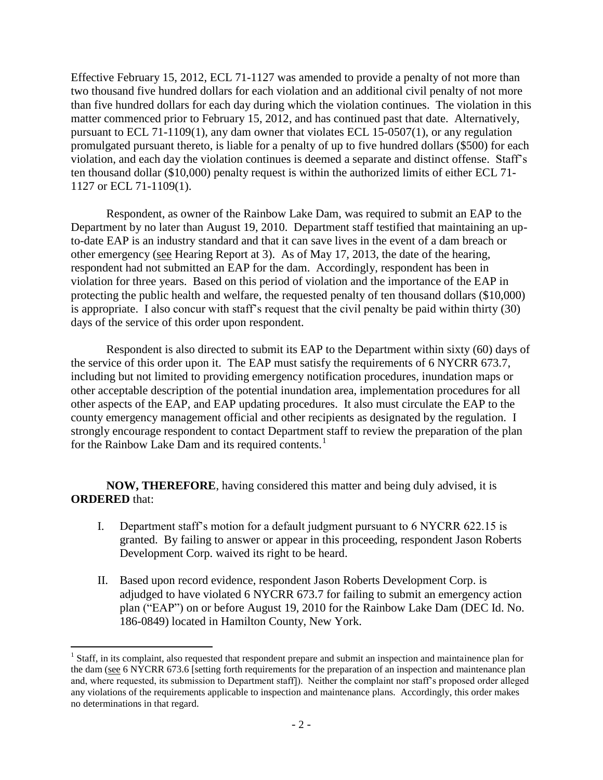Effective February 15, 2012, ECL 71-1127 was amended to provide a penalty of not more than two thousand five hundred dollars for each violation and an additional civil penalty of not more than five hundred dollars for each day during which the violation continues. The violation in this matter commenced prior to February 15, 2012, and has continued past that date. Alternatively, pursuant to ECL 71-1109(1), any dam owner that violates ECL 15-0507(1), or any regulation promulgated pursuant thereto, is liable for a penalty of up to five hundred dollars (\$500) for each violation, and each day the violation continues is deemed a separate and distinct offense. Staff's ten thousand dollar (\$10,000) penalty request is within the authorized limits of either ECL 71- 1127 or ECL 71-1109(1).

Respondent, as owner of the Rainbow Lake Dam, was required to submit an EAP to the Department by no later than August 19, 2010. Department staff testified that maintaining an upto-date EAP is an industry standard and that it can save lives in the event of a dam breach or other emergency (see Hearing Report at 3). As of May 17, 2013, the date of the hearing, respondent had not submitted an EAP for the dam. Accordingly, respondent has been in violation for three years. Based on this period of violation and the importance of the EAP in protecting the public health and welfare, the requested penalty of ten thousand dollars (\$10,000) is appropriate. I also concur with staff's request that the civil penalty be paid within thirty (30) days of the service of this order upon respondent.

Respondent is also directed to submit its EAP to the Department within sixty (60) days of the service of this order upon it. The EAP must satisfy the requirements of 6 NYCRR 673.7, including but not limited to providing emergency notification procedures, inundation maps or other acceptable description of the potential inundation area, implementation procedures for all other aspects of the EAP, and EAP updating procedures. It also must circulate the EAP to the county emergency management official and other recipients as designated by the regulation. I strongly encourage respondent to contact Department staff to review the preparation of the plan for the Rainbow Lake Dam and its required contents.<sup>1</sup>

**NOW, THEREFORE**, having considered this matter and being duly advised, it is **ORDERED** that:

- I. Department staff's motion for a default judgment pursuant to 6 NYCRR 622.15 is granted. By failing to answer or appear in this proceeding, respondent Jason Roberts Development Corp. waived its right to be heard.
- II. Based upon record evidence, respondent Jason Roberts Development Corp. is adjudged to have violated 6 NYCRR 673.7 for failing to submit an emergency action plan ("EAP") on or before August 19, 2010 for the Rainbow Lake Dam (DEC Id. No. 186-0849) located in Hamilton County, New York.

 $\overline{a}$ 

<sup>&</sup>lt;sup>1</sup> Staff, in its complaint, also requested that respondent prepare and submit an inspection and maintainence plan for the dam (see 6 NYCRR 673.6 [setting forth requirements for the preparation of an inspection and maintenance plan and, where requested, its submission to Department staff]). Neither the complaint nor staff's proposed order alleged any violations of the requirements applicable to inspection and maintenance plans. Accordingly, this order makes no determinations in that regard.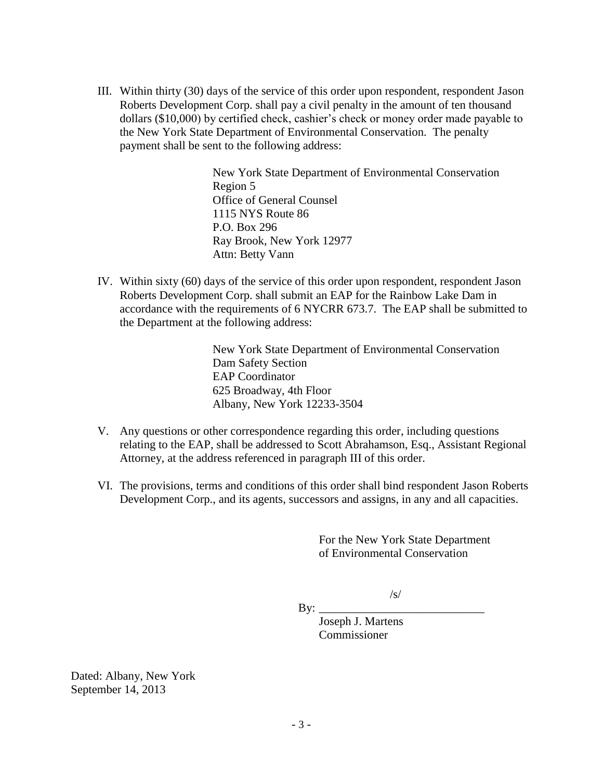III. Within thirty (30) days of the service of this order upon respondent, respondent Jason Roberts Development Corp. shall pay a civil penalty in the amount of ten thousand dollars (\$10,000) by certified check, cashier's check or money order made payable to the New York State Department of Environmental Conservation. The penalty payment shall be sent to the following address:

> New York State Department of Environmental Conservation Region 5 Office of General Counsel 1115 NYS Route 86 P.O. Box 296 Ray Brook, New York 12977 Attn: Betty Vann

IV. Within sixty (60) days of the service of this order upon respondent, respondent Jason Roberts Development Corp. shall submit an EAP for the Rainbow Lake Dam in accordance with the requirements of 6 NYCRR 673.7. The EAP shall be submitted to the Department at the following address:

> New York State Department of Environmental Conservation Dam Safety Section EAP Coordinator 625 Broadway, 4th Floor Albany, New York 12233-3504

- V. Any questions or other correspondence regarding this order, including questions relating to the EAP, shall be addressed to Scott Abrahamson, Esq., Assistant Regional Attorney, at the address referenced in paragraph III of this order.
- VI. The provisions, terms and conditions of this order shall bind respondent Jason Roberts Development Corp., and its agents, successors and assigns, in any and all capacities.

For the New York State Department of Environmental Conservation

 $\sqrt{s}$ 

 $\text{By:}\_\_\_\_\_\$ Joseph J. Martens Commissioner

Dated: Albany, New York September 14, 2013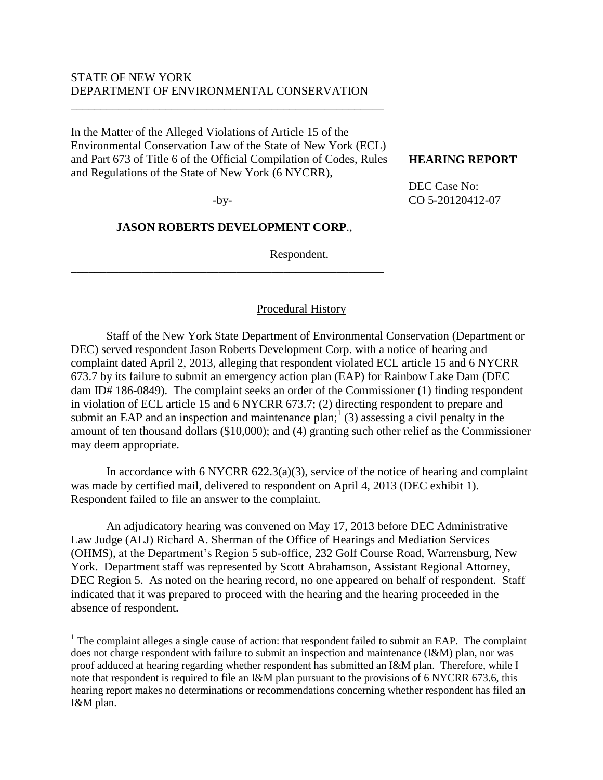## STATE OF NEW YORK DEPARTMENT OF ENVIRONMENTAL CONSERVATION

\_\_\_\_\_\_\_\_\_\_\_\_\_\_\_\_\_\_\_\_\_\_\_\_\_\_\_\_\_\_\_\_\_\_\_\_\_\_\_\_\_\_\_\_\_\_\_\_\_\_\_\_\_

In the Matter of the Alleged Violations of Article 15 of the Environmental Conservation Law of the State of New York (ECL) and Part 673 of Title 6 of the Official Compilation of Codes, Rules and Regulations of the State of New York (6 NYCRR),

# **HEARING REPORT**

DEC Case No: CO 5-20120412-07

#### $-by-$

#### **JASON ROBERTS DEVELOPMENT CORP**.,

\_\_\_\_\_\_\_\_\_\_\_\_\_\_\_\_\_\_\_\_\_\_\_\_\_\_\_\_\_\_\_\_\_\_\_\_\_\_\_\_\_\_\_\_\_\_\_\_\_\_\_\_\_

 $\overline{a}$ 

Respondent.

## Procedural History

Staff of the New York State Department of Environmental Conservation (Department or DEC) served respondent Jason Roberts Development Corp. with a notice of hearing and complaint dated April 2, 2013, alleging that respondent violated ECL article 15 and 6 NYCRR 673.7 by its failure to submit an emergency action plan (EAP) for Rainbow Lake Dam (DEC dam ID# 186-0849). The complaint seeks an order of the Commissioner (1) finding respondent in violation of ECL article 15 and 6 NYCRR 673.7; (2) directing respondent to prepare and submit an EAP and an inspection and maintenance plan;  $(3)$  assessing a civil penalty in the amount of ten thousand dollars (\$10,000); and (4) granting such other relief as the Commissioner may deem appropriate.

In accordance with 6 NYCRR  $622.3(a)(3)$ , service of the notice of hearing and complaint was made by certified mail, delivered to respondent on April 4, 2013 (DEC exhibit 1). Respondent failed to file an answer to the complaint.

An adjudicatory hearing was convened on May 17, 2013 before DEC Administrative Law Judge (ALJ) Richard A. Sherman of the Office of Hearings and Mediation Services (OHMS), at the Department's Region 5 sub-office, 232 Golf Course Road, Warrensburg, New York. Department staff was represented by Scott Abrahamson, Assistant Regional Attorney, DEC Region 5. As noted on the hearing record, no one appeared on behalf of respondent. Staff indicated that it was prepared to proceed with the hearing and the hearing proceeded in the absence of respondent.

 $1$ <sup>1</sup> The complaint alleges a single cause of action: that respondent failed to submit an EAP. The complaint does not charge respondent with failure to submit an inspection and maintenance (I&M) plan, nor was proof adduced at hearing regarding whether respondent has submitted an I&M plan. Therefore, while I note that respondent is required to file an I&M plan pursuant to the provisions of 6 NYCRR 673.6, this hearing report makes no determinations or recommendations concerning whether respondent has filed an I&M plan.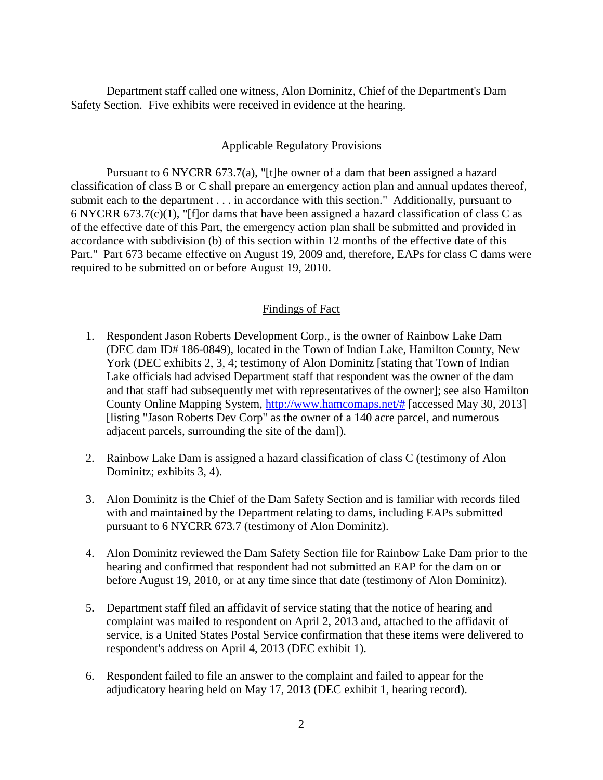Department staff called one witness, Alon Dominitz, Chief of the Department's Dam Safety Section. Five exhibits were received in evidence at the hearing.

#### Applicable Regulatory Provisions

Pursuant to 6 NYCRR 673.7(a), "[t]he owner of a dam that been assigned a hazard classification of class B or C shall prepare an emergency action plan and annual updates thereof, submit each to the department . . . in accordance with this section." Additionally, pursuant to 6 NYCRR 673.7(c)(1), "[f]or dams that have been assigned a hazard classification of class C as of the effective date of this Part, the emergency action plan shall be submitted and provided in accordance with subdivision (b) of this section within 12 months of the effective date of this Part." Part 673 became effective on August 19, 2009 and, therefore, EAPs for class C dams were required to be submitted on or before August 19, 2010.

## Findings of Fact

- 1. Respondent Jason Roberts Development Corp., is the owner of Rainbow Lake Dam (DEC dam ID# 186-0849), located in the Town of Indian Lake, Hamilton County, New York (DEC exhibits 2, 3, 4; testimony of Alon Dominitz [stating that Town of Indian Lake officials had advised Department staff that respondent was the owner of the dam and that staff had subsequently met with representatives of the owner]; see also Hamilton County Online Mapping System, [http://www.hamcomaps.net/#](http://www.hamcomaps.net/) [accessed May 30, 2013] [listing "Jason Roberts Dev Corp" as the owner of a 140 acre parcel, and numerous adjacent parcels, surrounding the site of the dam]).
- 2. Rainbow Lake Dam is assigned a hazard classification of class C (testimony of Alon Dominitz; exhibits 3, 4).
- 3. Alon Dominitz is the Chief of the Dam Safety Section and is familiar with records filed with and maintained by the Department relating to dams, including EAPs submitted pursuant to 6 NYCRR 673.7 (testimony of Alon Dominitz).
- 4. Alon Dominitz reviewed the Dam Safety Section file for Rainbow Lake Dam prior to the hearing and confirmed that respondent had not submitted an EAP for the dam on or before August 19, 2010, or at any time since that date (testimony of Alon Dominitz).
- 5. Department staff filed an affidavit of service stating that the notice of hearing and complaint was mailed to respondent on April 2, 2013 and, attached to the affidavit of service, is a United States Postal Service confirmation that these items were delivered to respondent's address on April 4, 2013 (DEC exhibit 1).
- 6. Respondent failed to file an answer to the complaint and failed to appear for the adjudicatory hearing held on May 17, 2013 (DEC exhibit 1, hearing record).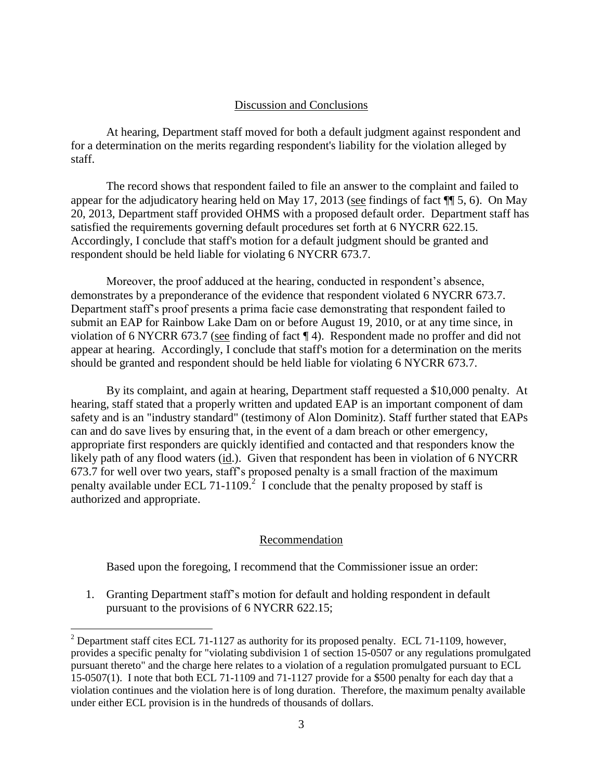#### Discussion and Conclusions

At hearing, Department staff moved for both a default judgment against respondent and for a determination on the merits regarding respondent's liability for the violation alleged by staff.

The record shows that respondent failed to file an answer to the complaint and failed to appear for the adjudicatory hearing held on May 17, 2013 (see findings of fact ¶¶ 5, 6). On May 20, 2013, Department staff provided OHMS with a proposed default order. Department staff has satisfied the requirements governing default procedures set forth at 6 NYCRR 622.15. Accordingly, I conclude that staff's motion for a default judgment should be granted and respondent should be held liable for violating 6 NYCRR 673.7.

Moreover, the proof adduced at the hearing, conducted in respondent's absence, demonstrates by a preponderance of the evidence that respondent violated 6 NYCRR 673.7. Department staff's proof presents a prima facie case demonstrating that respondent failed to submit an EAP for Rainbow Lake Dam on or before August 19, 2010, or at any time since, in violation of 6 NYCRR 673.7 (see finding of fact ¶ 4). Respondent made no proffer and did not appear at hearing. Accordingly, I conclude that staff's motion for a determination on the merits should be granted and respondent should be held liable for violating 6 NYCRR 673.7.

By its complaint, and again at hearing, Department staff requested a \$10,000 penalty. At hearing, staff stated that a properly written and updated EAP is an important component of dam safety and is an "industry standard" (testimony of Alon Dominitz). Staff further stated that EAPs can and do save lives by ensuring that, in the event of a dam breach or other emergency, appropriate first responders are quickly identified and contacted and that responders know the likely path of any flood waters (id.). Given that respondent has been in violation of 6 NYCRR 673.7 for well over two years, staff's proposed penalty is a small fraction of the maximum penalty available under ECL 71-1109.<sup>2</sup> I conclude that the penalty proposed by staff is authorized and appropriate.

#### Recommendation

Based upon the foregoing, I recommend that the Commissioner issue an order:

 1. Granting Department staff's motion for default and holding respondent in default pursuant to the provisions of 6 NYCRR 622.15;

 $\overline{a}$ 

 $2$  Department staff cites ECL 71-1127 as authority for its proposed penalty. ECL 71-1109, however, provides a specific penalty for "violating subdivision 1 of section 15-0507 or any regulations promulgated pursuant thereto" and the charge here relates to a violation of a regulation promulgated pursuant to ECL 15-0507(1). I note that both ECL 71-1109 and 71-1127 provide for a \$500 penalty for each day that a violation continues and the violation here is of long duration. Therefore, the maximum penalty available under either ECL provision is in the hundreds of thousands of dollars.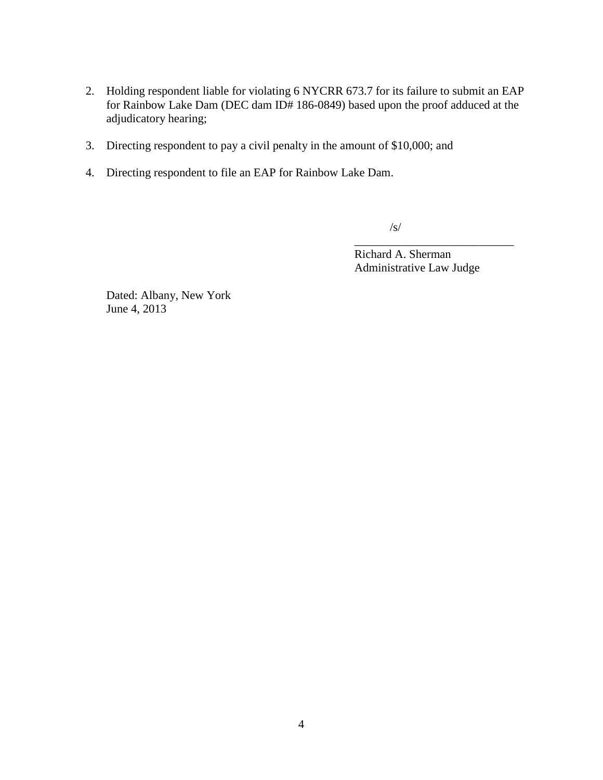- 2. Holding respondent liable for violating 6 NYCRR 673.7 for its failure to submit an EAP for Rainbow Lake Dam (DEC dam ID# 186-0849) based upon the proof adduced at the adjudicatory hearing;
- 3. Directing respondent to pay a civil penalty in the amount of \$10,000; and
- 4. Directing respondent to file an EAP for Rainbow Lake Dam.

/s/

Richard A. Sherman Administrative Law Judge

\_\_\_\_\_\_\_\_\_\_\_\_\_\_\_\_\_\_\_\_\_\_\_\_\_\_\_

Dated: Albany, New York June 4, 2013